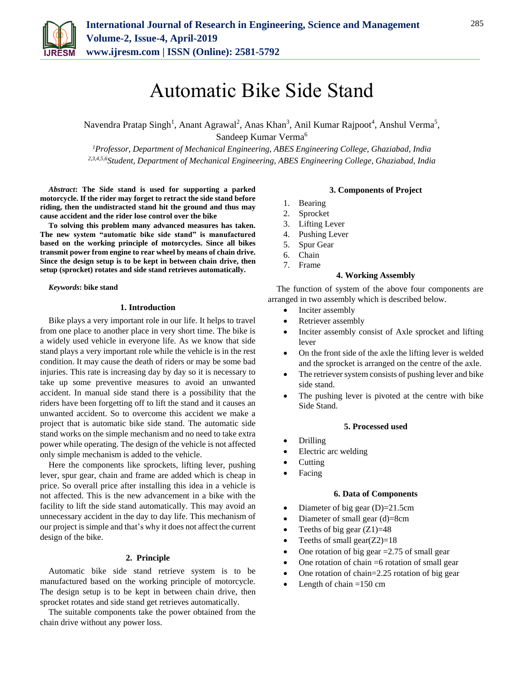

# Automatic Bike Side Stand

Navendra Pratap Singh<sup>1</sup>, Anant Agrawal<sup>2</sup>, Anas Khan<sup>3</sup>, Anil Kumar Rajpoot<sup>4</sup>, Anshul Verma<sup>5</sup>, Sandeep Kumar Verma<sup>6</sup>

*<sup>1</sup>Professor, Department of Mechanical Engineering, ABES Engineering College, Ghaziabad, India 2,3,4,5,6Student, Department of Mechanical Engineering, ABES Engineering College, Ghaziabad, India*

*Abstract***: The Side stand is used for supporting a parked motorcycle. If the rider may forget to retract the side stand before riding, then the undistracted stand hit the ground and thus may cause accident and the rider lose control over the bike** 

**To solving this problem many advanced measures has taken. The new system "automatic bike side stand" is manufactured based on the working principle of motorcycles. Since all bikes transmit power from engine to rear wheel by means of chain drive. Since the design setup is to be kept in between chain drive, then setup (sprocket) rotates and side stand retrieves automatically.**

*Keywords***: bike stand**

#### **1. Introduction**

Bike plays a very important role in our life. It helps to travel from one place to another place in very short time. The bike is a widely used vehicle in everyone life. As we know that side stand plays a very important role while the vehicle is in the rest condition. It may cause the death of riders or may be some bad injuries. This rate is increasing day by day so it is necessary to take up some preventive measures to avoid an unwanted accident. In manual side stand there is a possibility that the riders have been forgetting off to lift the stand and it causes an unwanted accident. So to overcome this accident we make a project that is automatic bike side stand. The automatic side stand works on the simple mechanism and no need to take extra power while operating. The design of the vehicle is not affected only simple mechanism is added to the vehicle.

Here the components like sprockets, lifting lever, pushing lever, spur gear, chain and frame are added which is cheap in price. So overall price after installing this idea in a vehicle is not affected. This is the new advancement in a bike with the facility to lift the side stand automatically. This may avoid an unnecessary accident in the day to day life. This mechanism of our project is simple and that's why it does not affect the current design of the bike.

#### **2. Principle**

Automatic bike side stand retrieve system is to be manufactured based on the working principle of motorcycle. The design setup is to be kept in between chain drive, then sprocket rotates and side stand get retrieves automatically.

The suitable components take the power obtained from the chain drive without any power loss.

#### **3. Components of Project**

- 1. Bearing
- 2. Sprocket
- 3. Lifting Lever
- 4. Pushing Lever
- 5. Spur Gear
- 6. Chain
- 7. Frame

#### **4. Working Assembly**

The function of system of the above four components are arranged in two assembly which is described below.

- Inciter assembly
- Retriever assembly
- Inciter assembly consist of Axle sprocket and lifting lever
- On the front side of the axle the lifting lever is welded and the sprocket is arranged on the centre of the axle.
- The retriever system consists of pushing lever and bike side stand.
- The pushing lever is pivoted at the centre with bike Side Stand.

#### **5. Processed used**

- Drilling
- Electric arc welding
- Cutting
- Facing

#### **6. Data of Components**

- Diameter of big gear (D)=21.5cm
- Diameter of small gear (d)=8cm
- Teeths of big gear  $(Z1)=48$
- Teeths of small gear $(Z2)=18$
- One rotation of big gear =2.75 of small gear
- One rotation of chain =6 rotation of small gear
- One rotation of chain=2.25 rotation of big gear
- Length of chain  $=150$  cm